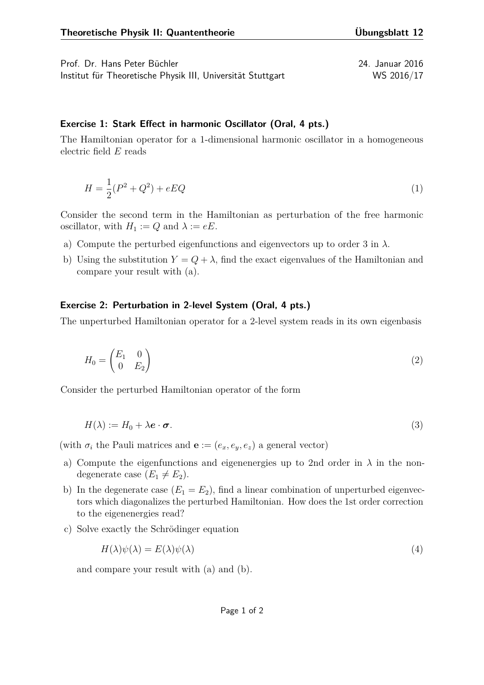Prof. Dr. Hans Peter Büchler 24. Januar 2016 Institut für Theoretische Physik III, Universität Stuttgart WS 2016/17

## **Exercise 1: Stark Effect in harmonic Oscillator (Oral, 4 pts.)**

The Hamiltonian operator for a 1-dimensional harmonic oscillator in a homogeneous electric field *E* reads

$$
H = \frac{1}{2}(P^2 + Q^2) + eEQ
$$
 (1)

Consider the second term in the Hamiltonian as perturbation of the free harmonic oscillator, with  $H_1 := Q$  and  $\lambda := eE$ .

- a) Compute the perturbed eigenfunctions and eigenvectors up to order 3 in *λ*.
- b) Using the substitution  $Y = Q + \lambda$ , find the exact eigenvalues of the Hamiltonian and compare your result with (a).

## **Exercise 2: Perturbation in 2-level System (Oral, 4 pts.)**

The unperturbed Hamiltonian operator for a 2-level system reads in its own eigenbasis

$$
H_0 = \begin{pmatrix} E_1 & 0 \\ 0 & E_2 \end{pmatrix} \tag{2}
$$

Consider the perturbed Hamiltonian operator of the form

$$
H(\lambda) := H_0 + \lambda \mathbf{e} \cdot \boldsymbol{\sigma}.\tag{3}
$$

(with  $\sigma_i$  the Pauli matrices and  $\mathbf{e} := (e_x, e_y, e_z)$  a general vector)

- a) Compute the eigenfunctions and eigenenergies up to 2nd order in  $\lambda$  in the nondegenerate case  $(E_1 \neq E_2)$ .
- b) In the degenerate case  $(E_1 = E_2)$ , find a linear combination of unperturbed eigenvectors which diagonalizes the perturbed Hamiltonian. How does the 1st order correction to the eigenenergies read?
- c) Solve exactly the Schrödinger equation

$$
H(\lambda)\psi(\lambda) = E(\lambda)\psi(\lambda) \tag{4}
$$

and compare your result with (a) and (b).